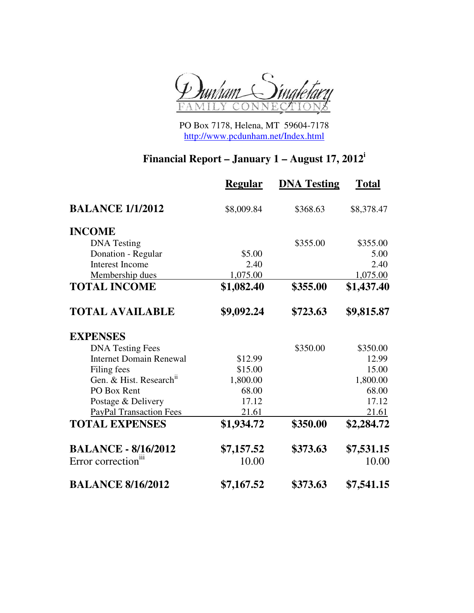

PO Box 7178, Helena, MT 59604-7178 http://www.pcdunham.net/Index.html

## **Financial Report – January 1 – August 17, 2012<sup>i</sup>**

|                                     | <b>Regular</b> | <b>DNA Testing</b> | <b>Total</b> |
|-------------------------------------|----------------|--------------------|--------------|
| <b>BALANCE 1/1/2012</b>             | \$8,009.84     | \$368.63           | \$8,378.47   |
| <b>INCOME</b>                       |                |                    |              |
| <b>DNA</b> Testing                  |                | \$355.00           | \$355.00     |
| Donation - Regular                  | \$5.00         |                    | 5.00         |
| <b>Interest Income</b>              | 2.40           |                    | 2.40         |
| Membership dues                     | 1,075.00       |                    | 1,075.00     |
| <b>TOTAL INCOME</b>                 | \$1,082.40     | \$355.00           | \$1,437.40   |
| <b>TOTAL AVAILABLE</b>              | \$9,092.24     | \$723.63           | \$9,815.87   |
| <b>EXPENSES</b>                     |                |                    |              |
| <b>DNA Testing Fees</b>             |                | \$350.00           | \$350.00     |
| <b>Internet Domain Renewal</b>      | \$12.99        |                    | 12.99        |
| Filing fees                         | \$15.00        |                    | 15.00        |
| Gen. & Hist. Research <sup>ii</sup> | 1,800.00       |                    | 1,800.00     |
| PO Box Rent                         | 68.00          |                    | 68.00        |
| Postage & Delivery                  | 17.12          |                    | 17.12        |
| <b>PayPal Transaction Fees</b>      | 21.61          |                    | 21.61        |
| <b>TOTAL EXPENSES</b>               | \$1,934.72     | \$350.00           | \$2,284.72   |
| <b>BALANCE - 8/16/2012</b>          | \$7,157.52     | \$373.63           | \$7,531.15   |
| Error correction <sup>iii</sup>     | 10.00          |                    | 10.00        |
| <b>BALANCE 8/16/2012</b>            | \$7,167.52     | \$373.63           | \$7,541.15   |